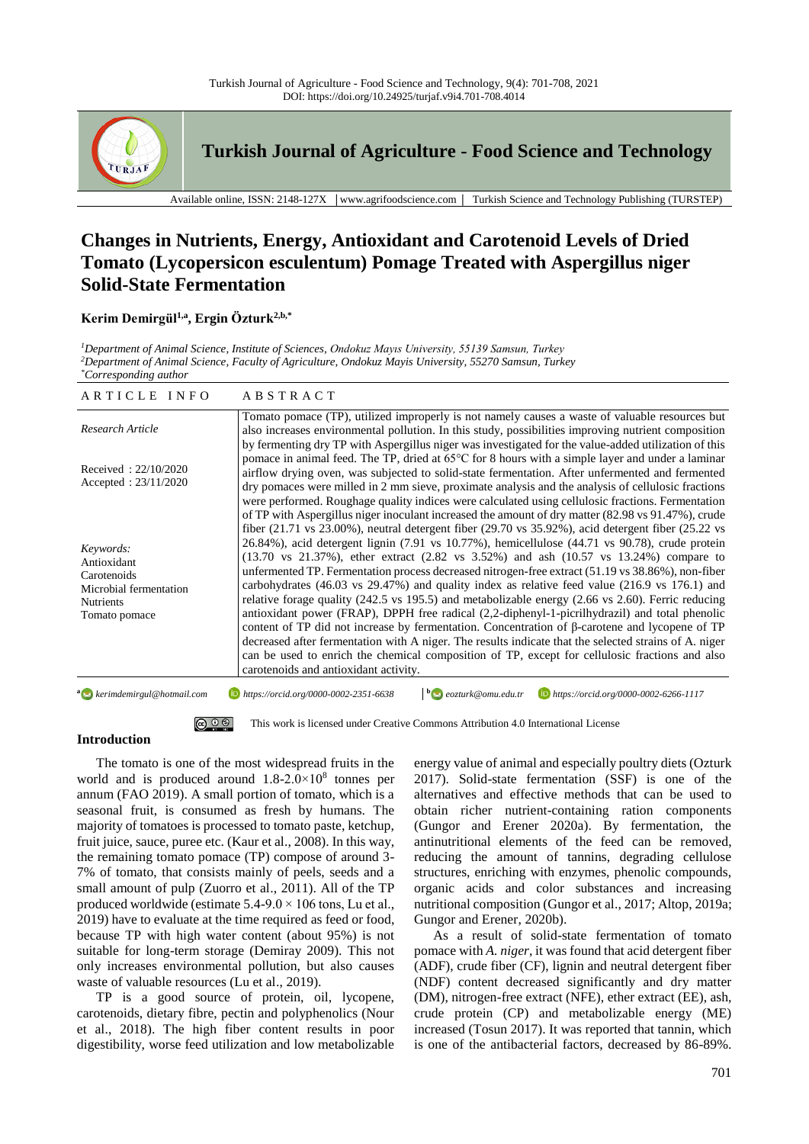

**Turkish Journal of Agriculture - Food Science and Technology**

Available online, ISSN: 2148-127X │www.agrifoodscience.com │ Turkish Science and Technology Publishing (TURSTEP)

# **Changes in Nutrients, Energy, Antioxidant and Carotenoid Levels of Dried Tomato (Lycopersicon esculentum) Pomage Treated with Aspergillus niger Solid-State Fermentation**

# **Kerim Demirgül1,a , Ergin Özturk2,b,\***

*<sup>1</sup>Department of Animal Science, Institute of Sciences, Ondokuz Mayıs University, 55139 Samsun, Turkey <sup>2</sup>Department of Animal Science, Faculty of Agriculture, Ondokuz Mayis University, 55270 Samsun, Turkey \*Corresponding author*

| ARTICLE INFO                                                                                           | A B S T R A C T                                                                                                                                                                                                                                                                                                                                                                                                                                                                                                                                                                                                                                                                                                                                                                                                                                                                                                                                                                                                                                                                                                                                                                                                                                                                         |
|--------------------------------------------------------------------------------------------------------|-----------------------------------------------------------------------------------------------------------------------------------------------------------------------------------------------------------------------------------------------------------------------------------------------------------------------------------------------------------------------------------------------------------------------------------------------------------------------------------------------------------------------------------------------------------------------------------------------------------------------------------------------------------------------------------------------------------------------------------------------------------------------------------------------------------------------------------------------------------------------------------------------------------------------------------------------------------------------------------------------------------------------------------------------------------------------------------------------------------------------------------------------------------------------------------------------------------------------------------------------------------------------------------------|
| Research Article                                                                                       | Tomato pomace (TP), utilized improperly is not namely causes a waste of valuable resources but<br>also increases environmental pollution. In this study, possibilities improving nutrient composition                                                                                                                                                                                                                                                                                                                                                                                                                                                                                                                                                                                                                                                                                                                                                                                                                                                                                                                                                                                                                                                                                   |
| Received: $22/10/2020$<br>Accepted: $23/11/2020$                                                       | by fermenting dry TP with Aspergillus niger was investigated for the value-added utilization of this<br>pomace in animal feed. The TP, dried at 65°C for 8 hours with a simple layer and under a laminar<br>airflow drying oven, was subjected to solid-state fermentation. After unfermented and fermented<br>dry pomaces were milled in 2 mm sieve, proximate analysis and the analysis of cellulosic fractions<br>were performed. Roughage quality indices were calculated using cellulosic fractions. Fermentation                                                                                                                                                                                                                                                                                                                                                                                                                                                                                                                                                                                                                                                                                                                                                                  |
| Keywords:<br>Antioxidant<br>Carotenoids<br>Microbial fermentation<br><b>Nutrients</b><br>Tomato pomace | of TP with Aspergillus niger inoculant increased the amount of dry matter (82.98 vs 91.47%), crude<br>fiber $(21.71 \text{ vs } 23.00\%)$ , neutral detergent fiber $(29.70 \text{ vs } 35.92\%)$ , acid detergent fiber $(25.22 \text{ vs } 25.92\%)$<br>26.84%), acid detergent lignin (7.91 vs 10.77%), hemicellulose (44.71 vs 90.78), crude protein<br>$(13.70 \text{ vs } 21.37\%)$ , ether extract $(2.82 \text{ vs } 3.52\%)$ and ash $(10.57 \text{ vs } 13.24\%)$ compare to<br>unfermented TP. Fermentation process decreased nitrogen-free extract (51.19 vs 38.86%), non-fiber<br>carbohydrates $(46.03 \text{ vs } 29.47\%)$ and quality index as relative feed value $(216.9 \text{ vs } 176.1)$ and<br>relative forage quality (242.5 vs 195.5) and metabolizable energy (2.66 vs 2.60). Ferric reducing<br>antioxidant power (FRAP), DPPH free radical (2,2-diphenyl-1-picrilhydrazil) and total phenolic<br>content of TP did not increase by fermentation. Concentration of $\beta$ -carotene and lycopene of TP<br>decreased after fermentation with A niger. The results indicate that the selected strains of A. niger<br>can be used to enrich the chemical composition of TP, except for cellulosic fractions and also<br>carotenoids and antioxidant activity. |

**a** kerimdemirgul@hotmail.com **b** https://orcid.org/0000-0002-2351-6638 **b** eozturk@omu.edu.tr *eozturk@omu.edu.tr https://orcid.org/0000-0002-6266-1117*

> @ ⊙ ® This work is licensed under Creative Commons Attribution 4.0 International License

## **Introduction**

The tomato is one of the most widespread fruits in the world and is produced around 1.8-2.0×10<sup>8</sup> tonnes per annum (FAO 2019). A small portion of tomato, which is a seasonal fruit, is consumed as fresh by humans. The majority of tomatoes is processed to tomato paste, ketchup, fruit juice, sauce, puree etc. (Kaur et al., 2008). In this way, the remaining tomato pomace (TP) compose of around 3- 7% of tomato, that consists mainly of peels, seeds and a small amount of pulp (Zuorro et al., 2011). All of the TP produced worldwide (estimate  $5.4-9.0 \times 106$  tons, Lu et al., 2019) have to evaluate at the time required as feed or food, because TP with high water content (about 95%) is not suitable for long-term storage (Demiray 2009). This not only increases environmental pollution, but also causes waste of valuable resources (Lu et al., 2019).

TP is a good source of protein, oil, lycopene, carotenoids, dietary fibre, pectin and polyphenolics (Nour et al., 2018). The high fiber content results in poor digestibility, worse feed utilization and low metabolizable energy value of animal and especially poultry diets (Ozturk 2017). Solid-state fermentation (SSF) is one of the alternatives and effective methods that can be used to obtain richer nutrient-containing ration components (Gungor and Erener 2020a). By fermentation, the antinutritional elements of the feed can be removed, reducing the amount of tannins, degrading cellulose structures, enriching with enzymes, phenolic compounds, organic acids and color substances and increasing nutritional composition (Gungor et al., 2017; Altop, 2019a; Gungor and Erener, 2020b).

As a result of solid-state fermentation of tomato pomace with *A. niger*, it was found that acid detergent fiber (ADF), crude fiber (CF), lignin and neutral detergent fiber (NDF) content decreased significantly and dry matter (DM), nitrogen-free extract (NFE), ether extract (EE), ash, crude protein (CP) and metabolizable energy (ME) increased (Tosun 2017). It was reported that tannin, which is one of the antibacterial factors, decreased by 86-89%.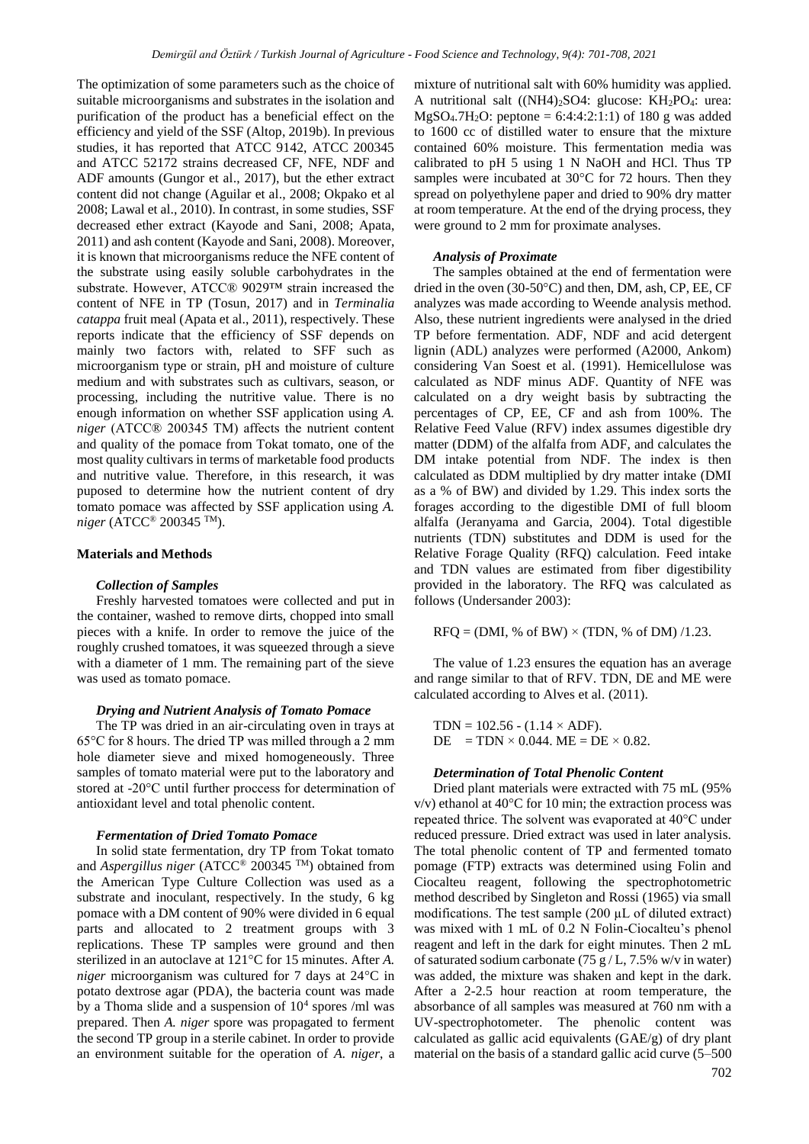The optimization of some parameters such as the choice of suitable microorganisms and substrates in the isolation and purification of the product has a beneficial effect on the efficiency and yield of the SSF (Altop, 2019b). In previous studies, it has reported that ATCC 9142, ATCC 200345 and ATCC 52172 strains decreased CF, NFE, NDF and ADF amounts (Gungor et al., 2017), but the ether extract content did not change (Aguilar et al., 2008; Okpako et al 2008; Lawal et al., 2010). In contrast, in some studies, SSF decreased ether extract (Kayode and Sani, 2008; Apata, 2011) and ash content (Kayode and Sani, 2008). Moreover, it is known that microorganisms reduce the NFE content of the substrate using easily soluble carbohydrates in the substrate. However, ATCC® 9029™ strain increased the content of NFE in TP (Tosun, 2017) and in *Terminalia catappa* fruit meal (Apata et al., 2011), respectively. These reports indicate that the efficiency of SSF depends on mainly two factors with, related to SFF such as microorganism type or strain, pH and moisture of culture medium and with substrates such as cultivars, season, or processing, including the nutritive value. There is no enough information on whether SSF application using *A. niger* (ATCC® 200345 TM) affects the nutrient content and quality of the pomace from Tokat tomato, one of the most quality cultivars in terms of marketable food products and nutritive value. Therefore, in this research, it was puposed to determine how the nutrient content of dry tomato pomace was affected by SSF application using *A. niger* (ATCC® 200345 TM).

## **Materials and Methods**

#### *Collection of Samples*

Freshly harvested tomatoes were collected and put in the container, washed to remove dirts, chopped into small pieces with a knife. In order to remove the juice of the roughly crushed tomatoes, it was squeezed through a sieve with a diameter of 1 mm. The remaining part of the sieve was used as tomato pomace.

## *Drying and Nutrient Analysis of Tomato Pomace*

The TP was dried in an air-circulating oven in trays at 65°C for 8 hours. The dried TP was milled through a 2 mm hole diameter sieve and mixed homogeneously. Three samples of tomato material were put to the laboratory and stored at -20°C until further proccess for determination of antioxidant level and total phenolic content.

## *Fermentation of Dried Tomato Pomace*

In solid state fermentation, dry TP from Tokat tomato and *Aspergillus niger* (ATCC® 200345 TM) obtained from the American Type Culture Collection was used as a substrate and inoculant, respectively. In the study, 6 kg pomace with a DM content of 90% were divided in 6 equal parts and allocated to 2 treatment groups with 3 replications. These TP samples were ground and then sterilized in an autoclave at 121°C for 15 minutes. After *A. niger* microorganism was cultured for 7 days at 24°C in potato dextrose agar (PDA), the bacteria count was made by a Thoma slide and a suspension of  $10<sup>4</sup>$  spores /ml was prepared. Then *A. niger* spore was propagated to ferment the second TP group in a sterile cabinet. In order to provide an environment suitable for the operation of *A. niger*, a

mixture of nutritional salt with 60% humidity was applied. A nutritional salt  $((NH4)_2SO4:$  glucose:  $KH_2PO_4:$  urea:  $MgSO_4.7H_2O$ : peptone = 6:4:4:2:1:1) of 180 g was added to 1600 cc of distilled water to ensure that the mixture contained 60% moisture. This fermentation media was calibrated to pH 5 using 1 N NaOH and HCl. Thus TP samples were incubated at 30°C for 72 hours. Then they spread on polyethylene paper and dried to 90% dry matter at room temperature. At the end of the drying process, they were ground to 2 mm for proximate analyses.

## *Analysis of Proximate*

The samples obtained at the end of fermentation were dried in the oven (30-50°C) and then, DM, ash, CP, EE, CF analyzes was made according to Weende analysis method. Also, these nutrient ingredients were analysed in the dried TP before fermentation. ADF, NDF and acid detergent lignin (ADL) analyzes were performed (A2000, Ankom) considering Van Soest et al. (1991). Hemicellulose was calculated as NDF minus ADF. Quantity of NFE was calculated on a dry weight basis by subtracting the percentages of CP, EE, CF and ash from 100%. The Relative Feed Value (RFV) index assumes digestible dry matter (DDM) of the alfalfa from ADF, and calculates the DM intake potential from NDF. The index is then calculated as DDM multiplied by dry matter intake (DMI as a % of BW) and divided by 1.29. This index sorts the forages according to the digestible DMI of full bloom alfalfa (Jeranyama and Garcia, 2004). Total digestible nutrients (TDN) substitutes and DDM is used for the Relative Forage Quality (RFQ) calculation. Feed intake and TDN values are estimated from fiber digestibility provided in the laboratory. The RFQ was calculated as follows (Undersander 2003):

 $RFO = (DMI, % of BW) \times (TDN, % of DM) / 1.23.$ 

The value of 1.23 ensures the equation has an average and range similar to that of RFV. TDN, DE and ME were calculated according to Alves et al. (2011).

TDN =  $102.56 - (1.14 \times ADF)$ .  $DE = TDN \times 0.044$ .  $ME = DE \times 0.82$ .

#### *Determination of Total Phenolic Content*

Dried plant materials were extracted with 75 mL (95%  $v/v$ ) ethanol at 40 $\degree$ C for 10 min; the extraction process was repeated thrice. The solvent was evaporated at 40°C under reduced pressure. Dried extract was used in later analysis. The total phenolic content of TP and fermented tomato pomage (FTP) extracts was determined using Folin and Ciocalteu reagent, following the spectrophotometric method described by Singleton and Rossi (1965) via small modifications. The test sample  $(200 \mu L)$  of diluted extract) was mixed with 1 mL of 0.2 N Folin-Ciocalteu's phenol reagent and left in the dark for eight minutes. Then 2 mL of saturated sodium carbonate (75 g / L, 7.5% w/v in water) was added, the mixture was shaken and kept in the dark. After a 2-2.5 hour reaction at room temperature, the absorbance of all samples was measured at 760 nm with a UV-spectrophotometer. The phenolic content was calculated as gallic acid equivalents (GAE/g) of dry plant material on the basis of a standard gallic acid curve (5–500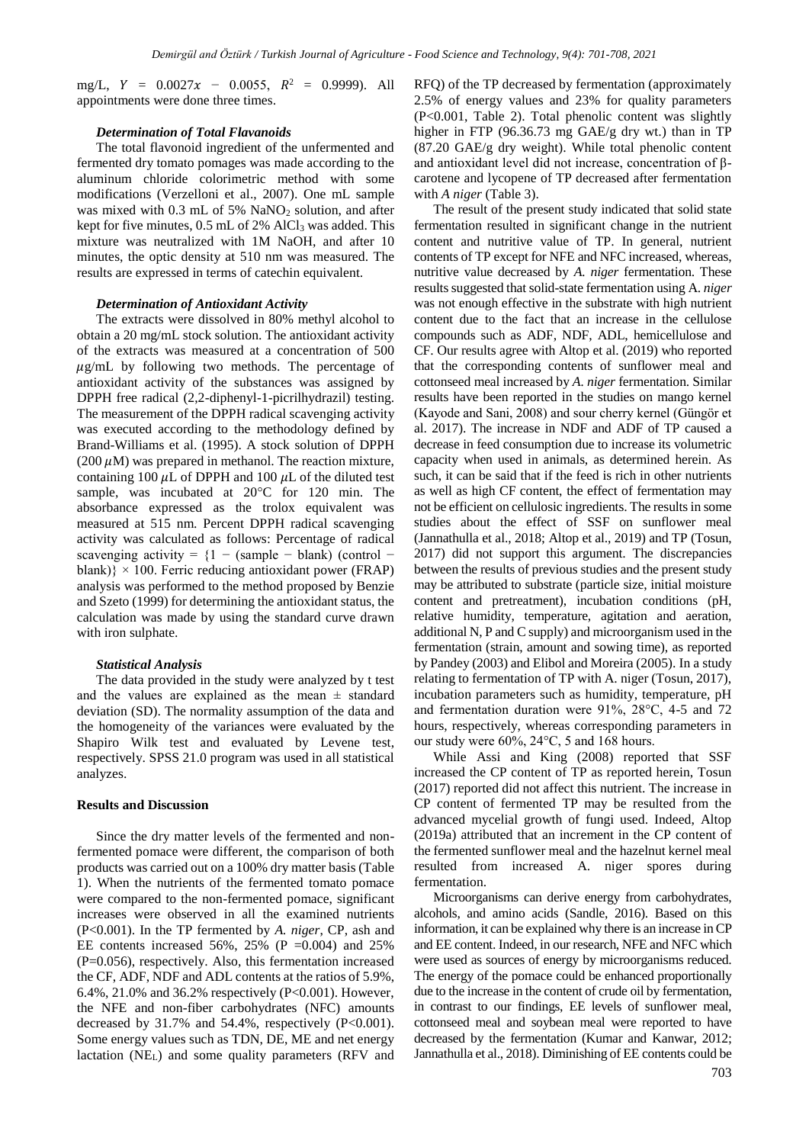mg/L,  $Y = 0.0027x - 0.0055$ ,  $R^2 = 0.9999$ ). All appointments were done three times.

# *Determination of Total Flavanoids*

The total flavonoid ingredient of the unfermented and fermented dry tomato pomages was made according to the aluminum chloride colorimetric method with some modifications (Verzelloni et al., 2007). One mL sample was mixed with  $0.3$  mL of 5% NaNO<sub>2</sub> solution, and after kept for five minutes,  $0.5$  mL of  $2\%$  AlCl<sub>3</sub> was added. This mixture was neutralized with 1M NaOH, and after 10 minutes, the optic density at 510 nm was measured. The results are expressed in terms of catechin equivalent.

## *Determination of Antioxidant Activity*

The extracts were dissolved in 80% methyl alcohol to obtain a 20 mg/mL stock solution. The antioxidant activity of the extracts was measured at a concentration of 500  $\mu$ g/mL by following two methods. The percentage of antioxidant activity of the substances was assigned by DPPH free radical (2,2-diphenyl-1-picrilhydrazil) testing. The measurement of the DPPH radical scavenging activity was executed according to the methodology defined by Brand-Williams et al. (1995). A stock solution of DPPH (200  $\mu$ M) was prepared in methanol. The reaction mixture, containing 100  $\mu$ L of DPPH and 100  $\mu$ L of the diluted test sample, was incubated at 20°C for 120 min. The absorbance expressed as the trolox equivalent was measured at 515 nm. Percent DPPH radical scavenging activity was calculated as follows: Percentage of radical scavenging activity =  ${1 - (sample - blank) (control$ blank)}  $\times$  100. Ferric reducing antioxidant power (FRAP) analysis was performed to the method proposed by Benzie and Szeto (1999) for determining the antioxidant status, the calculation was made by using the standard curve drawn with iron sulphate.

## *Statistical Analysis*

The data provided in the study were analyzed by t test and the values are explained as the mean  $\pm$  standard deviation (SD). The normality assumption of the data and the homogeneity of the variances were evaluated by the Shapiro Wilk test and evaluated by Levene test, respectively. SPSS 21.0 program was used in all statistical analyzes.

#### **Results and Discussion**

Since the dry matter levels of the fermented and nonfermented pomace were different, the comparison of both products was carried out on a 100% dry matter basis (Table 1). When the nutrients of the fermented tomato pomace were compared to the non-fermented pomace, significant increases were observed in all the examined nutrients (P<0.001). In the TP fermented by *A. niger*, CP, ash and EE contents increased 56%, 25% (P = 0.004) and 25% (P=0.056), respectively. Also, this fermentation increased the CF, ADF, NDF and ADL contents at the ratios of 5.9%, 6.4%, 21.0% and 36.2% respectively (P<0.001). However, the NFE and non-fiber carbohydrates (NFC) amounts decreased by  $31.7\%$  and  $54.4\%$ , respectively (P<0.001). Some energy values such as TDN, DE, ME and net energy lactation (NEL) and some quality parameters (RFV and RFQ) of the TP decreased by fermentation (approximately 2.5% of energy values and 23% for quality parameters (P<0.001, Table 2). Total phenolic content was slightly higher in FTP (96.36.73 mg GAE/g dry wt.) than in TP (87.20 GAE/g dry weight). While total phenolic content and antioxidant level did not increase, concentration of βcarotene and lycopene of TP decreased after fermentation with *A niger* (Table 3).

The result of the present study indicated that solid state fermentation resulted in significant change in the nutrient content and nutritive value of TP. In general, nutrient contents of TP except for NFE and NFC increased, whereas, nutritive value decreased by *A. niger* fermentation. These results suggested that solid-state fermentation using A. *niger*  was not enough effective in the substrate with high nutrient content due to the fact that an increase in the cellulose compounds such as ADF, NDF, ADL, hemicellulose and CF. Our results agree with Altop et al. (2019) who reported that the corresponding contents of sunflower meal and cottonseed meal increased by *A. niger* fermentation. Similar results have been reported in the studies on mango kernel (Kayode and Sani, 2008) and sour cherry kernel (Güngör et al. 2017). The increase in NDF and ADF of TP caused a decrease in feed consumption due to increase its volumetric capacity when used in animals, as determined herein. As such, it can be said that if the feed is rich in other nutrients as well as high CF content, the effect of fermentation may not be efficient on cellulosic ingredients. The results in some studies about the effect of SSF on sunflower meal (Jannathulla et al., 2018; Altop et al., 2019) and TP (Tosun, 2017) did not support this argument. The discrepancies between the results of previous studies and the present study may be attributed to substrate (particle size, initial moisture content and pretreatment), incubation conditions (pH, relative humidity, temperature, agitation and aeration, additional N, P and C supply) and microorganism used in the fermentation (strain, amount and sowing time), as reported by Pandey (2003) and Elibol and Moreira (2005). In a study relating to fermentation of TP with A. niger (Tosun, 2017), incubation parameters such as humidity, temperature, pH and fermentation duration were 91%, 28°C, 4-5 and 72 hours, respectively, whereas corresponding parameters in our study were 60%, 24°C, 5 and 168 hours.

While Assi and King (2008) reported that SSF increased the CP content of TP as reported herein, Tosun (2017) reported did not affect this nutrient. The increase in CP content of fermented TP may be resulted from the advanced mycelial growth of fungi used. Indeed, Altop (2019a) attributed that an increment in the CP content of the fermented sunflower meal and the hazelnut kernel meal resulted from increased A. niger spores during fermentation.

Microorganisms can derive energy from carbohydrates, alcohols, and amino acids (Sandle, 2016). Based on this information, it can be explained why there is an increase in CP and EE content. Indeed, in our research, NFE and NFC which were used as sources of energy by microorganisms reduced. The energy of the pomace could be enhanced proportionally due to the increase in the content of crude oil by fermentation, in contrast to our findings, EE levels of sunflower meal, cottonseed meal and soybean meal were reported to have decreased by the fermentation (Kumar and Kanwar, 2012; Jannathulla et al., 2018). Diminishing of EE contents could be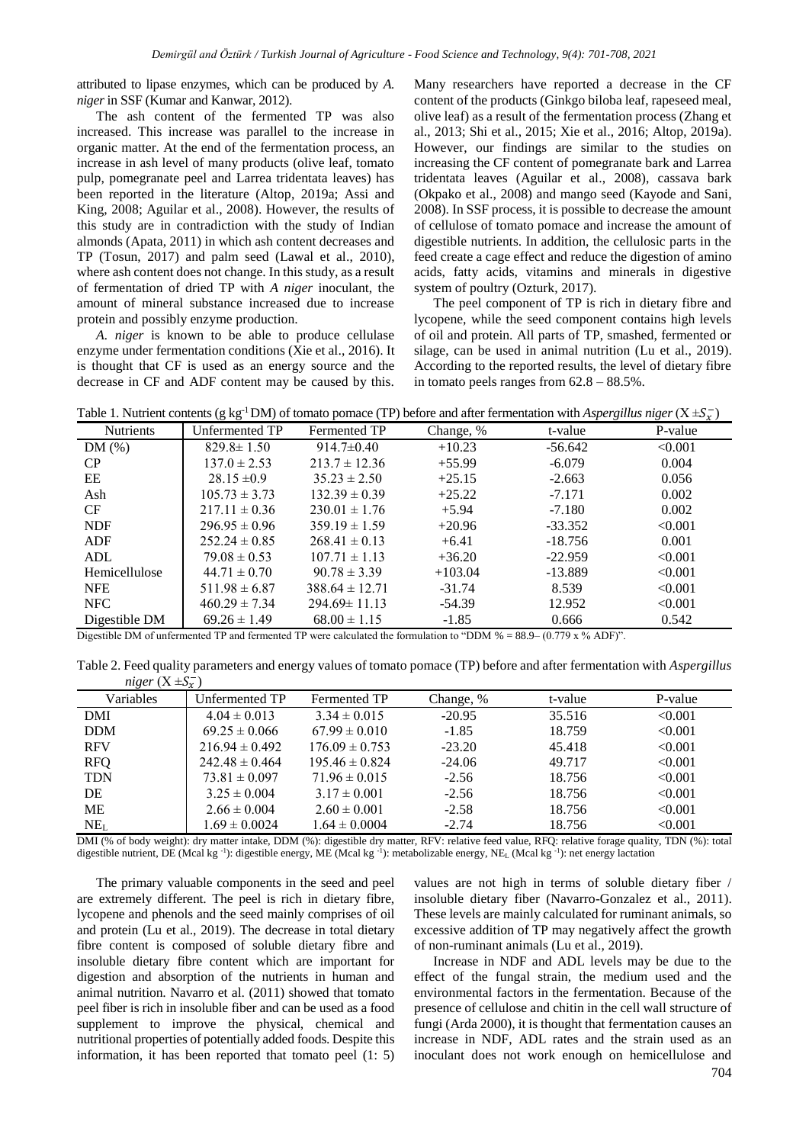attributed to lipase enzymes, which can be produced by *A. niger* in SSF (Kumar and Kanwar, 2012).

The ash content of the fermented TP was also increased. This increase was parallel to the increase in organic matter. At the end of the fermentation process, an increase in ash level of many products (olive leaf, tomato pulp, pomegranate peel and Larrea tridentata leaves) has been reported in the literature (Altop, 2019a; Assi and King, 2008; Aguilar et al., 2008). However, the results of this study are in contradiction with the study of Indian almonds (Apata, 2011) in which ash content decreases and TP (Tosun, 2017) and palm seed (Lawal et al., 2010), where ash content does not change. In this study, as a result of fermentation of dried TP with *A niger* inoculant, the amount of mineral substance increased due to increase protein and possibly enzyme production.

*A. niger* is known to be able to produce cellulase enzyme under fermentation conditions (Xie et al., 2016). It is thought that CF is used as an energy source and the decrease in CF and ADF content may be caused by this.

Many researchers have reported a decrease in the CF content of the products (Ginkgo biloba leaf, rapeseed meal, olive leaf) as a result of the fermentation process (Zhang et al., 2013; Shi et al., 2015; Xie et al., 2016; Altop, 2019a). However, our findings are similar to the studies on increasing the CF content of pomegranate bark and Larrea tridentata leaves (Aguilar et al., 2008), cassava bark (Okpako et al., 2008) and mango seed (Kayode and Sani, 2008). In SSF process, it is possible to decrease the amount of cellulose of tomato pomace and increase the amount of digestible nutrients. In addition, the cellulosic parts in the feed create a cage effect and reduce the digestion of amino acids, fatty acids, vitamins and minerals in digestive system of poultry (Ozturk, 2017).

The peel component of TP is rich in dietary fibre and lycopene, while the seed component contains high levels of oil and protein. All parts of TP, smashed, fermented or silage, can be used in animal nutrition (Lu et al., 2019). According to the reported results, the level of dietary fibre in tomato peels ranges from  $62.8 - 88.5\%$ .

Table 1. Nutrient contents ( $g kg^{-1}DM$ ) of tomato pomace (TP) before and after fermentation with *Aspergillus niger* ( $X \pm S_x^-$ )

|                  | ິ                 |                    |           | $\circ$   | $\mathbf{\circ}$<br>$\lambda$ |
|------------------|-------------------|--------------------|-----------|-----------|-------------------------------|
| <b>Nutrients</b> | Unfermented TP    | Fermented TP       | Change, % | t-value   | P-value                       |
| DM(%)            | $829.8 \pm 1.50$  | $914.7\pm0.40$     | $+10.23$  | $-56.642$ | < 0.001                       |
| CP.              | $137.0 \pm 2.53$  | $213.7 \pm 12.36$  | $+55.99$  | $-6.079$  | 0.004                         |
| EE               | $28.15 \pm 0.9$   | $35.23 \pm 2.50$   | $+25.15$  | $-2.663$  | 0.056                         |
| Ash              | $105.73 \pm 3.73$ | $132.39 \pm 0.39$  | $+25.22$  | $-7.171$  | 0.002                         |
| <b>CF</b>        | $217.11 \pm 0.36$ | $230.01 \pm 1.76$  | $+5.94$   | $-7.180$  | 0.002                         |
| <b>NDF</b>       | $296.95 \pm 0.96$ | $359.19 \pm 1.59$  | $+20.96$  | $-33.352$ | < 0.001                       |
| <b>ADF</b>       | $252.24 \pm 0.85$ | $268.41 \pm 0.13$  | $+6.41$   | $-18.756$ | 0.001                         |
| ADL              | $79.08 \pm 0.53$  | $107.71 \pm 1.13$  | $+36.20$  | $-22.959$ | < 0.001                       |
| Hemicellulose    | $44.71 \pm 0.70$  | $90.78 \pm 3.39$   | $+103.04$ | $-13.889$ | < 0.001                       |
| <b>NFE</b>       | $511.98 \pm 6.87$ | $388.64 \pm 12.71$ | $-31.74$  | 8.539     | < 0.001                       |
| <b>NFC</b>       | $460.29 \pm 7.34$ | $294.69 \pm 11.13$ | $-54.39$  | 12.952    | < 0.001                       |
| Digestible DM    | $69.26 \pm 1.49$  | $68.00 \pm 1.15$   | $-1.85$   | 0.666     | 0.542                         |

Digestible DM of unfermented TP and fermented TP were calculated the formulation to "DDM % = 88.9– (0.779 x % ADF)".

Table 2. Feed quality parameters and energy values of tomato pomace (TP) before and after fermentation with *Aspergillus*   $niger(X ± S_x^-)$ 

| $\cdots$<br>Variables | ر بر -<br>Unfermented TP | Fermented TP       | Change, % | t-value | P-value |
|-----------------------|--------------------------|--------------------|-----------|---------|---------|
| DMI                   | $4.04 \pm 0.013$         | $3.34 \pm 0.015$   | $-20.95$  | 35.516  | < 0.001 |
| <b>DDM</b>            | $69.25 \pm 0.066$        | $67.99 \pm 0.010$  | $-1.85$   | 18.759  | < 0.001 |
| <b>RFV</b>            | $216.94 \pm 0.492$       | $176.09 \pm 0.753$ | $-23.20$  | 45.418  | < 0.001 |
| <b>RFQ</b>            | $242.48 \pm 0.464$       | $195.46 \pm 0.824$ | $-24.06$  | 49.717  | < 0.001 |
| <b>TDN</b>            | $73.81 \pm 0.097$        | $71.96 \pm 0.015$  | $-2.56$   | 18.756  | < 0.001 |
| DE                    | $3.25 \pm 0.004$         | $3.17 \pm 0.001$   | $-2.56$   | 18.756  | < 0.001 |
| ME                    | $2.66 \pm 0.004$         | $2.60 \pm 0.001$   | $-2.58$   | 18.756  | < 0.001 |
| $NE_{L}$              | $1.69 \pm 0.0024$        | $1.64 \pm 0.0004$  | $-2.74$   | 18.756  | < 0.001 |

DMI (% of body weight): dry matter intake, DDM (%): digestible dry matter, RFV: relative feed value, RFQ: relative forage quality, TDN (%): total digestible nutrient, DE (Mcal kg<sup>-1</sup>): digestible energy, ME (Mcal kg<sup>-1</sup>): metabolizable energy, NE<sub>L</sub> (Mcal kg<sup>-1</sup>): net energy lactation

The primary valuable components in the seed and peel are extremely different. The peel is rich in dietary fibre, lycopene and phenols and the seed mainly comprises of oil and protein (Lu et al., 2019). The decrease in total dietary fibre content is composed of soluble dietary fibre and insoluble dietary fibre content which are important for digestion and absorption of the nutrients in human and animal nutrition. Navarro et al. (2011) showed that tomato peel fiber is rich in insoluble fiber and can be used as a food supplement to improve the physical, chemical and nutritional properties of potentially added foods. Despite this information, it has been reported that tomato peel (1: 5)

values are not high in terms of soluble dietary fiber / insoluble dietary fiber (Navarro-Gonzalez et al., 2011). These levels are mainly calculated for ruminant animals, so excessive addition of TP may negatively affect the growth of non-ruminant animals (Lu et al., 2019).

Increase in NDF and ADL levels may be due to the effect of the fungal strain, the medium used and the environmental factors in the fermentation. Because of the presence of cellulose and chitin in the cell wall structure of fungi (Arda 2000), it is thought that fermentation causes an increase in NDF, ADL rates and the strain used as an inoculant does not work enough on hemicellulose and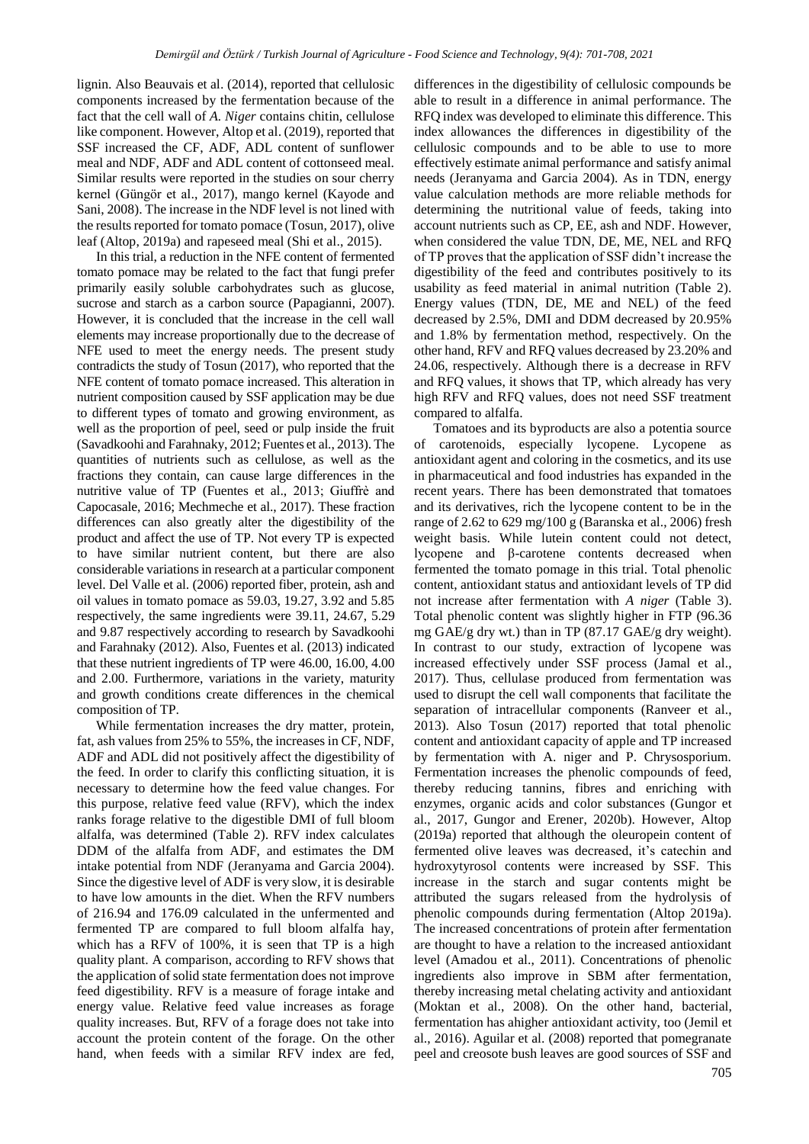lignin. Also Beauvais et al. (2014), reported that cellulosic components increased by the fermentation because of the fact that the cell wall of *A. Niger* contains chitin, cellulose like component. However, Altop et al. (2019), reported that SSF increased the CF, ADF, ADL content of sunflower meal and NDF, ADF and ADL content of cottonseed meal. Similar results were reported in the studies on sour cherry kernel (Güngör et al., 2017), mango kernel (Kayode and Sani, 2008). The increase in the NDF level is not lined with the results reported for tomato pomace (Tosun, 2017), olive leaf (Altop, 2019a) and rapeseed meal (Shi et al., 2015).

In this trial, a reduction in the NFE content of fermented tomato pomace may be related to the fact that fungi prefer primarily easily soluble carbohydrates such as glucose, sucrose and starch as a carbon source (Papagianni, 2007). However, it is concluded that the increase in the cell wall elements may increase proportionally due to the decrease of NFE used to meet the energy needs. The present study contradicts the study of Tosun (2017), who reported that the NFE content of tomato pomace increased. This alteration in nutrient composition caused by SSF application may be due to different types of tomato and growing environment, as well as the proportion of peel, seed or pulp inside the fruit (Savadkoohi and Farahnaky, 2012; Fuentes et al., 2013). The quantities of nutrients such as cellulose, as well as the fractions they contain, can cause large differences in the nutritive value of TP (Fuentes et al., 2013; Giuffrè and Capocasale, 2016; Mechmeche et al., 2017). These fraction differences can also greatly alter the digestibility of the product and affect the use of TP. Not every TP is expected to have similar nutrient content, but there are also considerable variations in research at a particular component level. Del Valle et al. (2006) reported fiber, protein, ash and oil values in tomato pomace as 59.03, 19.27, 3.92 and 5.85 respectively, the same ingredients were 39.11, 24.67, 5.29 and 9.87 respectively according to research by Savadkoohi and Farahnaky (2012). Also, Fuentes et al. (2013) indicated that these nutrient ingredients of TP were 46.00, 16.00, 4.00 and 2.00. Furthermore, variations in the variety, maturity and growth conditions create differences in the chemical composition of TP.

While fermentation increases the dry matter, protein, fat, ash values from 25% to 55%, the increases in CF, NDF, ADF and ADL did not positively affect the digestibility of the feed. In order to clarify this conflicting situation, it is necessary to determine how the feed value changes. For this purpose, relative feed value (RFV), which the index ranks forage relative to the digestible DMI of full bloom alfalfa, was determined (Table 2). RFV index calculates DDM of the alfalfa from ADF, and estimates the DM intake potential from NDF (Jeranyama and Garcia 2004). Since the digestive level of ADF is very slow, it is desirable to have low amounts in the diet. When the RFV numbers of 216.94 and 176.09 calculated in the unfermented and fermented TP are compared to full bloom alfalfa hay, which has a RFV of 100%, it is seen that TP is a high quality plant. A comparison, according to RFV shows that the application of solid state fermentation does not improve feed digestibility. RFV is a measure of forage intake and energy value. Relative feed value increases as forage quality increases. But, RFV of a forage does not take into account the protein content of the forage. On the other hand, when feeds with a similar RFV index are fed,

differences in the digestibility of cellulosic compounds be able to result in a difference in animal performance. The RFQ index was developed to eliminate this difference. This index allowances the differences in digestibility of the cellulosic compounds and to be able to use to more effectively estimate animal performance and satisfy animal needs (Jeranyama and Garcia 2004). As in TDN, energy value calculation methods are more reliable methods for determining the nutritional value of feeds, taking into account nutrients such as CP, EE, ash and NDF. However, when considered the value TDN, DE, ME, NEL and RFQ of TP proves that the application of SSF didn't increase the digestibility of the feed and contributes positively to its usability as feed material in animal nutrition (Table 2). Energy values (TDN, DE, ME and NEL) of the feed decreased by 2.5%, DMI and DDM decreased by 20.95% and 1.8% by fermentation method, respectively. On the other hand, RFV and RFQ values decreased by 23.20% and 24.06, respectively. Although there is a decrease in RFV and RFQ values, it shows that TP, which already has very high RFV and RFQ values, does not need SSF treatment compared to alfalfa.

705 Tomatoes and its byproducts are also a potentia source of carotenoids, especially lycopene. Lycopene as antioxidant agent and coloring in the cosmetics, and its use in pharmaceutical and food industries has expanded in the recent years. There has been demonstrated that tomatoes and its derivatives, rich the lycopene content to be in the range of 2.62 to 629 mg/100 g (Baranska et al., 2006) fresh weight basis. While lutein content could not detect, lycopene and β-carotene contents decreased when fermented the tomato pomage in this trial. Total phenolic content, antioxidant status and antioxidant levels of TP did not increase after fermentation with *A niger* (Table 3). Total phenolic content was slightly higher in FTP (96.36 mg GAE/g dry wt.) than in TP (87.17 GAE/g dry weight). In contrast to our study, extraction of lycopene was increased effectively under SSF process (Jamal et al., 2017). Thus, cellulase produced from fermentation was used to disrupt the cell wall components that facilitate the separation of intracellular components (Ranveer et al., 2013). Also Tosun (2017) reported that total phenolic content and antioxidant capacity of apple and TP increased by fermentation with A. niger and P. Chrysosporium. Fermentation increases the phenolic compounds of feed, thereby reducing tannins, fibres and enriching with enzymes, organic acids and color substances (Gungor et al., 2017, Gungor and Erener, 2020b). However, Altop (2019a) reported that although the oleuropein content of fermented olive leaves was decreased, it's catechin and hydroxytyrosol contents were increased by SSF. This increase in the starch and sugar contents might be attributed the sugars released from the hydrolysis of phenolic compounds during fermentation (Altop 2019a). The increased concentrations of protein after fermentation are thought to have a relation to the increased antioxidant level (Amadou et al., 2011). Concentrations of phenolic ingredients also improve in SBM after fermentation, thereby increasing metal chelating activity and antioxidant (Moktan et al., 2008). On the other hand, bacterial, fermentation has ahigher antioxidant activity, too (Jemil et al., 2016). Aguilar et al. (2008) reported that pomegranate peel and creosote bush leaves are good sources of SSF and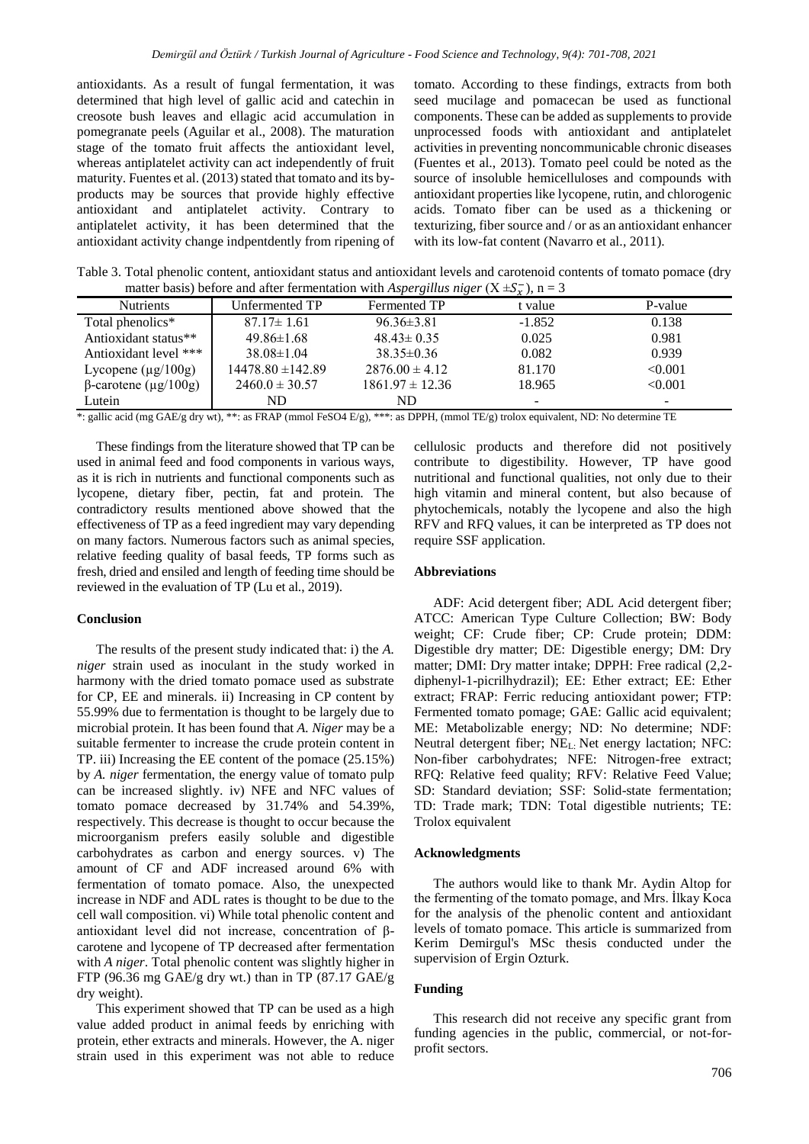antioxidants. As a result of fungal fermentation, it was determined that high level of gallic acid and catechin in creosote bush leaves and ellagic acid accumulation in pomegranate peels (Aguilar et al., 2008). The maturation stage of the tomato fruit affects the antioxidant level, whereas antiplatelet activity can act independently of fruit maturity. Fuentes et al. (2013) stated that tomato and its byproducts may be sources that provide highly effective antioxidant and antiplatelet activity. Contrary to antiplatelet activity, it has been determined that the antioxidant activity change indpentdently from ripening of

tomato. According to these findings, extracts from both seed mucilage and pomacecan be used as functional components. These can be added as supplements to provide unprocessed foods with antioxidant and antiplatelet activities in preventing noncommunicable chronic diseases (Fuentes et al., 2013). Tomato peel could be noted as the source of insoluble hemicelluloses and compounds with antioxidant properties like lycopene, rutin, and chlorogenic acids. Tomato fiber can be used as a thickening or texturizing, fiber source and / or as an antioxidant enhancer with its low-fat content (Navarro et al., 2011).

Table 3. Total phenolic content, antioxidant status and antioxidant levels and carotenoid contents of tomato pomace (dry matter basis) before and after fermentation with *Aspergillus niger* ( $X \pm S_x^-$ ), n = 3

| <b>Nutrients</b>            | Unfermented TP     | Fermented TP        | $-A.$ / $7$<br>t value | P-value |
|-----------------------------|--------------------|---------------------|------------------------|---------|
| Total phenolics*            | $87.17 \pm 1.61$   | $96.36\pm3.81$      | $-1.852$               | 0.138   |
| Antioxidant status**        | $49.86\pm1.68$     | $48.43 \pm 0.35$    | 0.025                  | 0.981   |
| Antioxidant level ***       | $38.08 \pm 1.04$   | $38.35 \pm 0.36$    | 0.082                  | 0.939   |
| Lycopene $(\mu g/100g)$     | 14478.80 ± 142.89  | $2876.00 \pm 4.12$  | 81.170                 | < 0.001 |
| $\beta$ -carotene (µg/100g) | $2460.0 \pm 30.57$ | $1861.97 \pm 12.36$ | 18.965                 | < 0.001 |
| Lutein                      | ND                 | ND                  | -                      | -       |

\*: gallic acid (mg GAE/g dry wt), \*\*: as FRAP (mmol FeSO4 E/g), \*\*\*: as DPPH, (mmol TE/g) trolox equivalent, ND: No determine TE

These findings from the literature showed that TP can be used in animal feed and food components in various ways, as it is rich in nutrients and functional components such as lycopene, dietary fiber, pectin, fat and protein. The contradictory results mentioned above showed that the effectiveness of TP as a feed ingredient may vary depending on many factors. Numerous factors such as animal species, relative feeding quality of basal feeds, TP forms such as fresh, dried and ensiled and length of feeding time should be reviewed in the evaluation of TP (Lu et al., 2019).

# **Conclusion**

The results of the present study indicated that: i) the *A. niger* strain used as inoculant in the study worked in harmony with the dried tomato pomace used as substrate for CP, EE and minerals. ii) Increasing in CP content by 55.99% due to fermentation is thought to be largely due to microbial protein. It has been found that *A. Niger* may be a suitable fermenter to increase the crude protein content in TP. iii) Increasing the EE content of the pomace (25.15%) by *A. niger* fermentation, the energy value of tomato pulp can be increased slightly. iv) NFE and NFC values of tomato pomace decreased by 31.74% and 54.39%, respectively. This decrease is thought to occur because the microorganism prefers easily soluble and digestible carbohydrates as carbon and energy sources. v) The amount of CF and ADF increased around 6% with fermentation of tomato pomace. Also, the unexpected increase in NDF and ADL rates is thought to be due to the cell wall composition. vi) While total phenolic content and antioxidant level did not increase, concentration of βcarotene and lycopene of TP decreased after fermentation with *A niger*. Total phenolic content was slightly higher in FTP (96.36 mg GAE/g dry wt.) than in TP (87.17 GAE/g dry weight).

This experiment showed that TP can be used as a high value added product in animal feeds by enriching with protein, ether extracts and minerals. However, the A. niger strain used in this experiment was not able to reduce cellulosic products and therefore did not positively contribute to digestibility. However, TP have good nutritional and functional qualities, not only due to their high vitamin and mineral content, but also because of phytochemicals, notably the lycopene and also the high RFV and RFQ values, it can be interpreted as TP does not require SSF application.

# **Abbreviations**

ADF: Acid detergent fiber; ADL Acid detergent fiber; ATCC: American Type Culture Collection; BW: Body weight; CF: Crude fiber; CP: Crude protein; DDM: Digestible dry matter; DE: Digestible energy; DM: Dry matter; DMI: Dry matter intake; DPPH: Free radical (2,2 diphenyl-1-picrilhydrazil); EE: Ether extract; EE: Ether extract; FRAP: Ferric reducing antioxidant power; FTP: Fermented tomato pomage; GAE: Gallic acid equivalent; ME: Metabolizable energy; ND: No determine; NDF: Neutral detergent fiber;  $NE<sub>L</sub>$ : Net energy lactation; NFC: Non-fiber carbohydrates; NFE: Nitrogen-free extract; RFQ: Relative feed quality; RFV: Relative Feed Value; SD: Standard deviation; SSF: Solid-state fermentation; TD: Trade mark; TDN: Total digestible nutrients; TE: Trolox equivalent

## **Acknowledgments**

The authors would like to thank Mr. Aydin Altop for the fermenting of the tomato pomage, and Mrs. İlkay Koca for the analysis of the phenolic content and antioxidant levels of tomato pomace. This article is summarized from Kerim Demirgul's MSc thesis conducted under the supervision of Ergin Ozturk.

## **Funding**

This research did not receive any specific grant from funding agencies in the public, commercial, or not-forprofit sectors.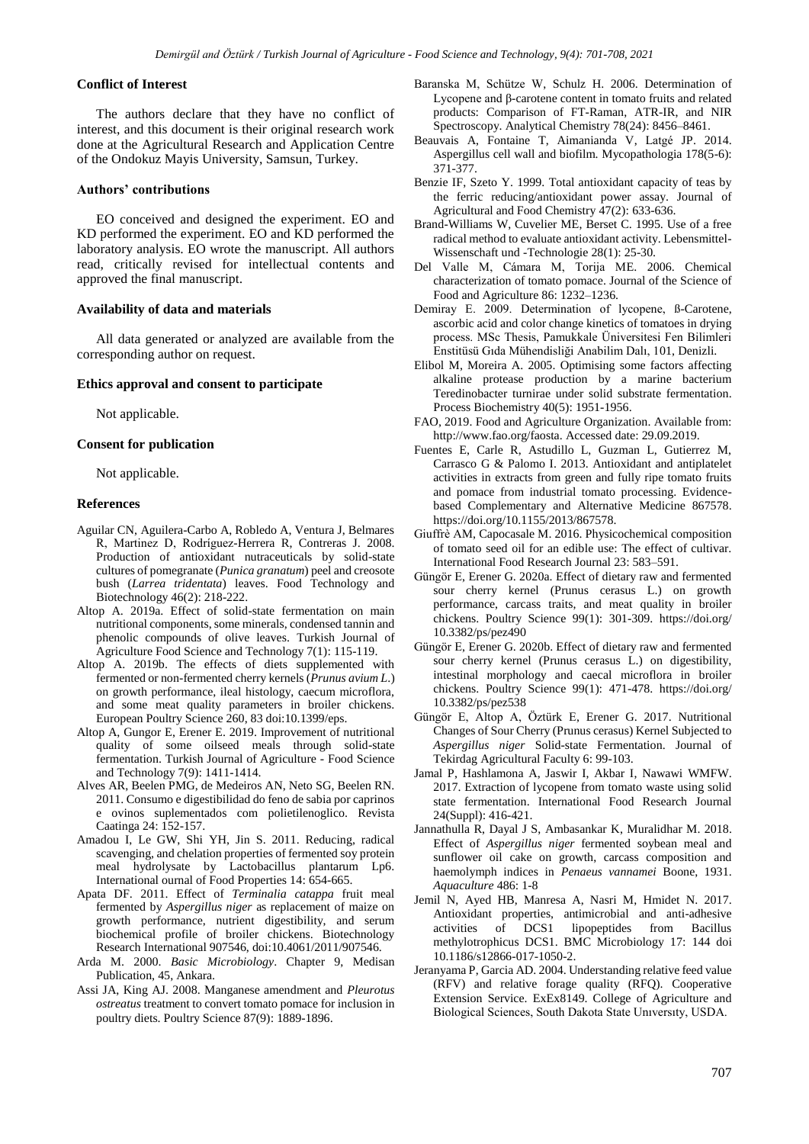## **Conflict of Interest**

The authors declare that they have no conflict of interest, and this document is their original research work done at the Agricultural Research and Application Centre of the Ondokuz Mayis University, Samsun, Turkey.

## **Authors' contributions**

EO conceived and designed the experiment. EO and KD performed the experiment. EO and KD performed the laboratory analysis. EO wrote the manuscript. All authors read, critically revised for intellectual contents and approved the final manuscript.

## **Availability of data and materials**

All data generated or analyzed are available from the corresponding author on request.

#### **Ethics approval and consent to participate**

Not applicable.

## **Consent for publication**

Not applicable.

## **References**

- Aguilar CN, Aguilera-Carbo A, Robledo A, Ventura J, Belmares R, Martinez D, Rodríguez-Herrera R, Contreras J. 2008. Production of antioxidant nutraceuticals by solid-state cultures of pomegranate (*Punica granatum*) peel and creosote bush (*Larrea tridentata*) leaves. Food Technology and Biotechnology 46(2): 218-222.
- Altop A. 2019a. Effect of solid-state fermentation on main nutritional components, some minerals, condensed tannin and phenolic compounds of olive leaves. Turkish Journal of Agriculture Food Science and Technology 7(1): 115-119.
- Altop A. 2019b. The effects of diets supplemented with fermented or non-fermented cherry kernels (*Prunus avium L*.) on growth performance, ileal histology, caecum microflora, and some meat quality parameters in broiler chickens. European Poultry Science 260, 83 doi:10.1399/eps.
- Altop A, Gungor E, Erener E. 2019. Improvement of nutritional quality of some oilseed meals through solid-state fermentation. Turkish Journal of Agriculture - Food Science and Technology 7(9): 1411-1414.
- Alves AR, Beelen PMG, de Medeiros AN, Neto SG, Beelen RN. 2011. Consumo e digestibilidad do feno de sabia por caprinos e ovinos suplementados com polietilenoglico. Revista Caatinga 24: 152-157.
- Amadou I, Le GW, Shi YH, Jin S. 2011. Reducing, radical scavenging, and chelation properties of fermented soy protein meal hydrolysate by Lactobacillus plantarum Lp6. International ournal of Food Properties 14: 654-665.
- Apata DF. 2011. Effect of *Terminalia catappa* fruit meal fermented by *Aspergillus niger* as replacement of maize on growth performance, nutrient digestibility, and serum biochemical profile of broiler chickens. Biotechnology Research International 907546, doi:10.4061/2011/907546.
- Arda M. 2000. *Basic Microbiology*. Chapter 9, Medisan Publication, 45, Ankara.
- Assi JA, King AJ. 2008. Manganese amendment and *Pleurotus ostreatus* treatment to convert tomato pomace for inclusion in poultry diets. Poultry Science 87(9): 1889-1896.
- Baranska M, Schütze W, Schulz H. 2006. Determination of Lycopene and β-carotene content in tomato fruits and related products: Comparison of FT-Raman, ATR-IR, and NIR Spectroscopy. Analytical Chemistry 78(24): 8456–8461.
- Beauvais A, Fontaine T, Aimanianda V, Latgé JP. 2014. Aspergillus cell wall and biofilm. Mycopathologia 178(5-6): 371-377.
- Benzie IF, Szeto Y. 1999. Total antioxidant capacity of teas by the ferric reducing/antioxidant power assay. Journal of Agricultural and Food Chemistry 47(2): 633-636.
- Brand-Williams W, Cuvelier ME, Berset C. 1995. Use of a free radical method to evaluate antioxidant activity. Lebensmittel-Wissenschaft und -Technologie 28(1): 25-30.
- Del Valle M, Cámara M, Torija ME. 2006. Chemical characterization of tomato pomace. Journal of the Science of Food and Agriculture 86: 1232–1236.
- Demiray E. 2009. Determination of lycopene, ß-Carotene, ascorbic acid and color change kinetics of tomatoes in drying process. MSc Thesis, Pamukkale Üniversitesi Fen Bilimleri Enstitüsü Gıda Mühendisliği Anabilim Dalı, 101, Denizli.
- Elibol M, Moreira A. 2005. Optimising some factors affecting alkaline protease production by a marine bacterium Teredinobacter turnirae under solid substrate fermentation. Process Biochemistry 40(5): 1951-1956.
- FAO, 2019. Food and Agriculture Organization. Available from: http://www.fao.org/faosta. Accessed date: 29.09.2019.
- Fuentes E, Carle R, Astudillo L, Guzman L, Gutierrez M, Carrasco G & Palomo I. 2013. Antioxidant and antiplatelet activities in extracts from green and fully ripe tomato fruits and pomace from industrial tomato processing. Evidencebased Complementary and Alternative Medicine 867578. https://doi.org/10.1155/2013/867578.
- Giuffrè AM, Capocasale M. 2016. Physicochemical composition of tomato seed oil for an edible use: The effect of cultivar. International Food Research Journal 23: 583–591.
- Güngör E, Erener G. 2020a. Effect of dietary raw and fermented sour cherry kernel (Prunus cerasus L.) on growth performance, carcass traits, and meat quality in broiler chickens. Poultry Science 99(1): 301-309. https://doi.org/ 10.3382/ps/pez490
- Güngör E, Erener G. 2020b. Effect of dietary raw and fermented sour cherry kernel (Prunus cerasus L.) on digestibility, intestinal morphology and caecal microflora in broiler chickens. Poultry Science 99(1): 471-478. https://doi.org/ 10.3382/ps/pez538
- Güngör E, Altop A, Öztürk E, Erener G. 2017. Nutritional Changes of Sour Cherry (Prunus cerasus) Kernel Subjected to *Aspergillus niger* Solid-state Fermentation. Journal of Tekirdag Agricultural Faculty 6: 99-103.
- Jamal P, Hashlamona A, Jaswir I, Akbar I, Nawawi WMFW. 2017. Extraction of lycopene from tomato waste using solid state fermentation. International Food Research Journal 24(Suppl): 416-421.
- Jannathulla R, Dayal J S, Ambasankar K, Muralidhar M. 2018. Effect of *Aspergillus niger* fermented soybean meal and sunflower oil cake on growth, carcass composition and haemolymph indices in *Penaeus vannamei* Boone, 1931. *Aquaculture* 486: 1-8
- Jemil N, Ayed HB, Manresa A, Nasri M, Hmidet N. 2017. Antioxidant properties, antimicrobial and anti-adhesive activities of DCS1 lipopeptides from Bacillus methylotrophicus DCS1. BMC Microbiology 17: 144 doi 10.1186/s12866-017-1050-2.
- Jeranyama P, Garcia AD. 2004. Understanding relative feed value (RFV) and relative forage quality (RFQ). Cooperative Extension Service. ExEx8149. College of Agriculture and Biological Sciences, South Dakota State Unıversıty, USDA.